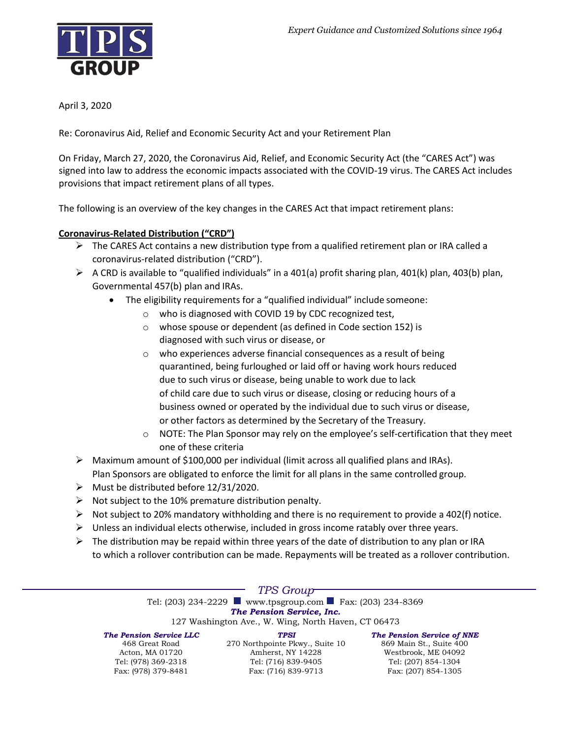

April 3, 2020

Re: Coronavirus Aid, Relief and Economic Security Act and your Retirement Plan

On Friday, March 27, 2020, the Coronavirus Aid, Relief, and Economic Security Act (the "CARES Act") was signed into law to address the economic impacts associated with the COVID-19 virus. The CARES Act includes provisions that impact retirement plans of all types.

The following is an overview of the key changes in the CARES Act that impact retirement plans:

# **Coronavirus-Related Distribution ("CRD")**

- $\triangleright$  The CARES Act contains a new distribution type from a qualified retirement plan or IRA called a coronavirus-related distribution ("CRD").
- $\triangleright$  A CRD is available to "qualified individuals" in a 401(a) profit sharing plan, 401(k) plan, 403(b) plan, Governmental 457(b) plan and IRAs.
	- The eligibility requirements for a "qualified individual" include someone:
		- o who is diagnosed with COVID 19 by CDC recognized test,
		- o whose spouse or dependent (as defined in Code section 152) is diagnosed with such virus or disease, or
		- o who experiences adverse financial consequences as a result of being quarantined, being furloughed or laid off or having work hours reduced due to such virus or disease, being unable to work due to lack of child care due to such virus or disease, closing or reducing hours of a business owned or operated by the individual due to such virus or disease, or other factors as determined by the Secretary of the Treasury.
		- o NOTE: The Plan Sponsor may rely on the employee's self-certification that they meet one of these criteria
- $\triangleright$  Maximum amount of \$100,000 per individual (limit across all qualified plans and IRAs). Plan Sponsors are obligated to enforce the limit for all plans in the same controlled group.
- ➢ Must be distributed before 12/31/2020.
- $\triangleright$  Not subject to the 10% premature distribution penalty.
- $\triangleright$  Not subject to 20% mandatory withholding and there is no requirement to provide a 402(f) notice.
- $\triangleright$  Unless an individual elects otherwise, included in gross income ratably over three years.
- $\triangleright$  The distribution may be repaid within three years of the date of distribution to any plan or IRA to which a rollover contribution can be made. Repayments will be treated as a rollover contribution.

# *TPS Group*

Tel: (203) 234-2229 [www.tpsgroup.com F](http://www.tpsgroup.com/)ax: (203) 234-8369 *The Pension Service, Inc.*

127 Washington Ave., W. Wing, North Haven, CT 06473

*The Pension Service LLC*

468 Great Road Acton, MA 01720 Tel: (978) 369-2318 Fax: (978) 379-8481

*TPSI* 270 Northpointe Pkwy., Suite 10 Amherst, NY 14228 Tel: (716) 839-9405 Fax: (716) 839-9713

*The Pension Service of NNE* 869 Main St., Suite 400 Westbrook, ME 04092 Tel: (207) 854-1304 Fax: (207) 854-1305